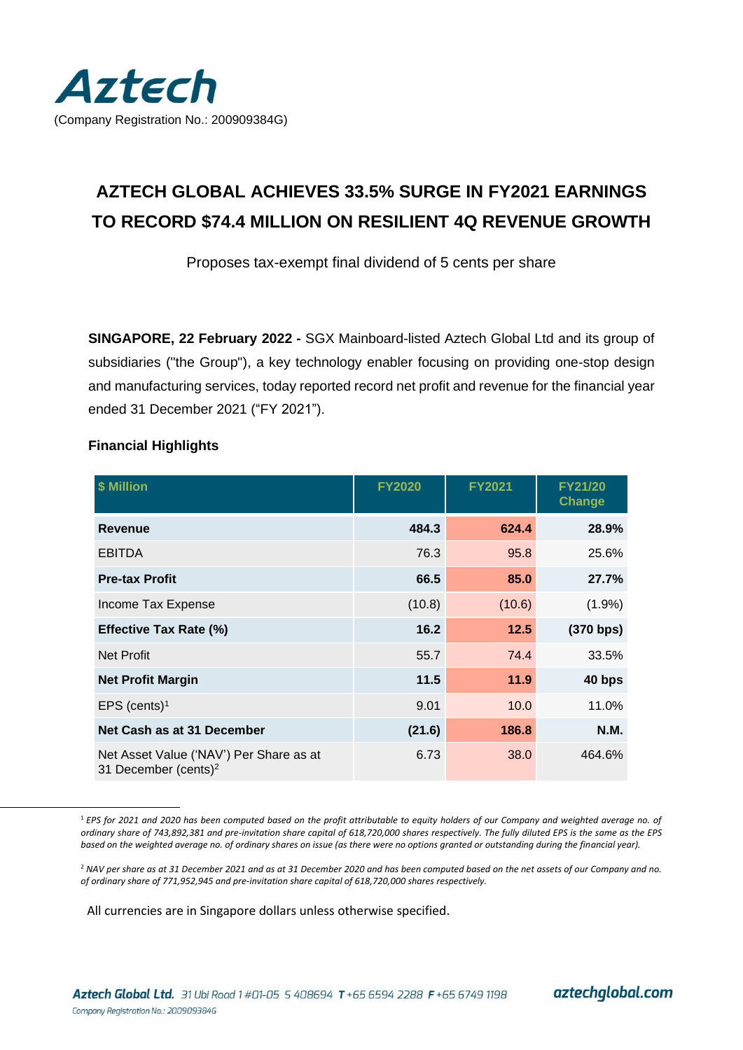

# **AZTECH GLOBAL ACHIEVES 33.5% SURGE IN FY2021 EARNINGS TO RECORD \$74.4 MILLION ON RESILIENT 4Q REVENUE GROWTH**

Proposes tax-exempt final dividend of 5 cents per share

**SINGAPORE, 22 February 2022 -** SGX Mainboard-listed Aztech Global Ltd and its group of subsidiaries ("the Group"), a key technology enabler focusing on providing one-stop design and manufacturing services, today reported record net profit and revenue for the financial year ended 31 December 2021 ("FY 2021").

| \$ Million                                                                  | <b>FY2020</b> | <b>FY2021</b> | <b>FY21/20</b><br>Change |
|-----------------------------------------------------------------------------|---------------|---------------|--------------------------|
| <b>Revenue</b>                                                              | 484.3         | 624.4         | 28.9%                    |
| <b>EBITDA</b>                                                               | 76.3          | 95.8          | 25.6%                    |
| <b>Pre-tax Profit</b>                                                       | 66.5          | 85.0          | 27.7%                    |
| Income Tax Expense                                                          | (10.8)        | (10.6)        | $(1.9\%)$                |
| <b>Effective Tax Rate (%)</b>                                               | 16.2          | 12.5          | (370 bps)                |
| <b>Net Profit</b>                                                           | 55.7          | 74.4          | 33.5%                    |
| <b>Net Profit Margin</b>                                                    | 11.5          | 11.9          | 40 bps                   |
| EPS (cents) $1$                                                             | 9.01          | 10.0          | 11.0%                    |
| Net Cash as at 31 December                                                  | (21.6)        | 186.8         | <b>N.M.</b>              |
| Net Asset Value ('NAV') Per Share as at<br>31 December (cents) <sup>2</sup> | 6.73          | 38.0          | 464.6%                   |

## **Financial Highlights**

All currencies are in Singapore dollars unless otherwise specified.

aztechglobal.com

<sup>1</sup> *EPS for 2021 and 2020 has been computed based on the profit attributable to equity holders of our Company and weighted average no. of ordinary share of 743,892,381 and pre-invitation share capital of 618,720,000 shares respectively. The fully diluted EPS is the same as the EPS based on the weighted average no. of ordinary shares on issue (as there were no options granted or outstanding during the financial year).*

<sup>2</sup> *NAV per share as at 31 December 2021 and as at 31 December 2020 and has been computed based on the net assets of our Company and no. of ordinary share of 771,952,945 and pre-invitation share capital of 618,720,000 shares respectively.*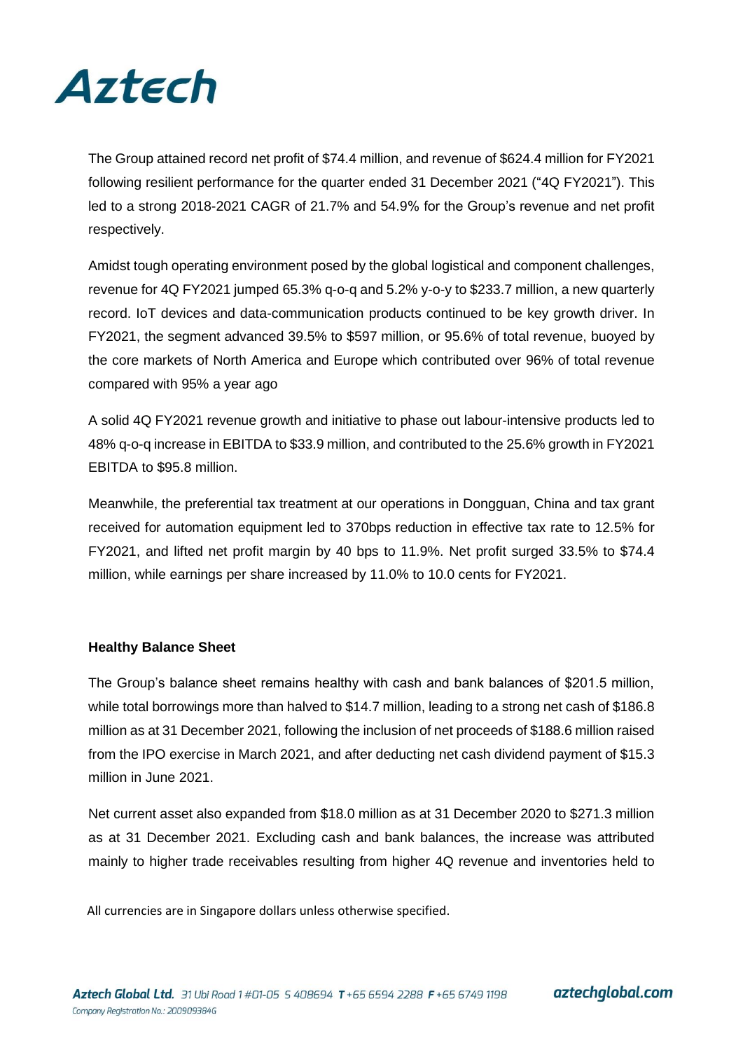

The Group attained record net profit of \$74.4 million, and revenue of \$624.4 million for FY2021 following resilient performance for the quarter ended 31 December 2021 ("4Q FY2021"). This led to a strong 2018-2021 CAGR of 21.7% and 54.9% for the Group's revenue and net profit respectively.

Amidst tough operating environment posed by the global logistical and component challenges, revenue for 4Q FY2021 jumped 65.3% q-o-q and 5.2% y-o-y to \$233.7 million, a new quarterly record. IoT devices and data-communication products continued to be key growth driver. In FY2021, the segment advanced 39.5% to \$597 million, or 95.6% of total revenue, buoyed by the core markets of North America and Europe which contributed over 96% of total revenue compared with 95% a year ago

A solid 4Q FY2021 revenue growth and initiative to phase out labour-intensive products led to 48% q-o-q increase in EBITDA to \$33.9 million, and contributed to the 25.6% growth in FY2021 EBITDA to \$95.8 million.

Meanwhile, the preferential tax treatment at our operations in Dongguan, China and tax grant received for automation equipment led to 370bps reduction in effective tax rate to 12.5% for FY2021, and lifted net profit margin by 40 bps to 11.9%. Net profit surged 33.5% to \$74.4 million, while earnings per share increased by 11.0% to 10.0 cents for FY2021.

### **Healthy Balance Sheet**

The Group's balance sheet remains healthy with cash and bank balances of \$201.5 million, while total borrowings more than halved to \$14.7 million, leading to a strong net cash of \$186.8 million as at 31 December 2021, following the inclusion of net proceeds of \$188.6 million raised from the IPO exercise in March 2021, and after deducting net cash dividend payment of \$15.3 million in June 2021.

Net current asset also expanded from \$18.0 million as at 31 December 2020 to \$271.3 million as at 31 December 2021. Excluding cash and bank balances, the increase was attributed mainly to higher trade receivables resulting from higher 4Q revenue and inventories held to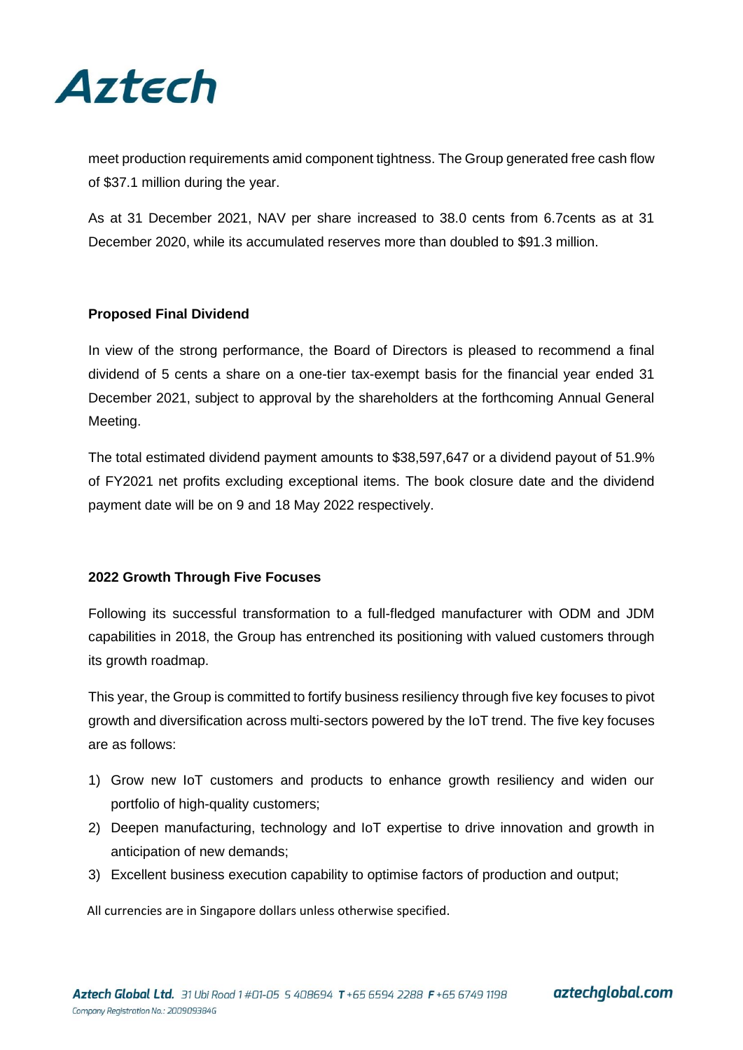

meet production requirements amid component tightness. The Group generated free cash flow of \$37.1 million during the year.

As at 31 December 2021, NAV per share increased to 38.0 cents from 6.7cents as at 31 December 2020, while its accumulated reserves more than doubled to \$91.3 million.

### **Proposed Final Dividend**

In view of the strong performance, the Board of Directors is pleased to recommend a final dividend of 5 cents a share on a one-tier tax-exempt basis for the financial year ended 31 December 2021, subject to approval by the shareholders at the forthcoming Annual General Meeting.

The total estimated dividend payment amounts to \$38,597,647 or a dividend payout of 51.9% of FY2021 net profits excluding exceptional items. The book closure date and the dividend payment date will be on 9 and 18 May 2022 respectively.

### **2022 Growth Through Five Focuses**

Following its successful transformation to a full-fledged manufacturer with ODM and JDM capabilities in 2018, the Group has entrenched its positioning with valued customers through its growth roadmap.

This year, the Group is committed to fortify business resiliency through five key focuses to pivot growth and diversification across multi-sectors powered by the IoT trend. The five key focuses are as follows:

- 1) Grow new IoT customers and products to enhance growth resiliency and widen our portfolio of high-quality customers;
- 2) Deepen manufacturing, technology and IoT expertise to drive innovation and growth in anticipation of new demands;
- 3) Excellent business execution capability to optimise factors of production and output;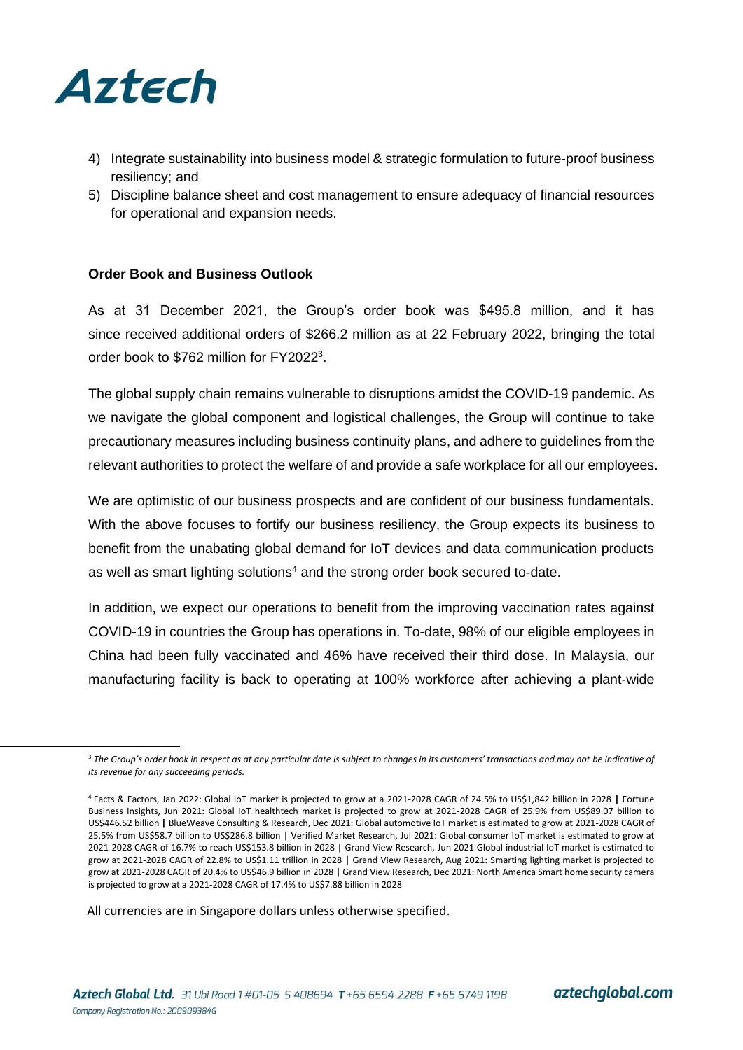

- 4) Integrate sustainability into business model & strategic formulation to future-proof business resiliency; and
- 5) Discipline balance sheet and cost management to ensure adequacy of financial resources for operational and expansion needs.

### **Order Book and Business Outlook**

As at 31 December 2021, the Group's order book was \$495.8 million, and it has since received additional orders of \$266.2 million as at 22 February 2022, bringing the total order book to \$762 million for FY2022<sup>3</sup>.

The global supply chain remains vulnerable to disruptions amidst the COVID-19 pandemic. As we navigate the global component and logistical challenges, the Group will continue to take precautionary measures including business continuity plans, and adhere to guidelines from the relevant authorities to protect the welfare of and provide a safe workplace for all our employees.

We are optimistic of our business prospects and are confident of our business fundamentals. With the above focuses to fortify our business resiliency, the Group expects its business to benefit from the unabating global demand for IoT devices and data communication products as well as smart lighting solutions $4$  and the strong order book secured to-date.

In addition, we expect our operations to benefit from the improving vaccination rates against COVID-19 in countries the Group has operations in. To-date, 98% of our eligible employees in China had been fully vaccinated and 46% have received their third dose. In Malaysia, our manufacturing facility is back to operating at 100% workforce after achieving a plant-wide

<sup>&</sup>lt;sup>3</sup> The Group's order book in respect as at any particular date is subject to changes in its customers' transactions and may not be indicative of *its revenue for any succeeding periods.* 

<sup>4</sup> Facts & Factors, Jan 2022: Global IoT market is projected to grow at a 2021-2028 CAGR of 24.5% to US\$1,842 billion in 2028 **|** Fortune Business Insights, Jun 2021: Global IoT healthtech market is projected to grow at 2021-2028 CAGR of 25.9% from US\$89.07 billion to US\$446.52 billion **|** BlueWeave Consulting & Research, Dec 2021: Global automotive IoT market is estimated to grow at 2021-2028 CAGR of 25.5% from US\$58.7 billion to US\$286.8 billion **|** Verified Market Research, Jul 2021: Global consumer IoT market is estimated to grow at 2021-2028 CAGR of 16.7% to reach US\$153.8 billion in 2028 **|** Grand View Research, Jun 2021 Global industrial IoT market is estimated to grow at 2021-2028 CAGR of 22.8% to US\$1.11 trillion in 2028 **|** Grand View Research, Aug 2021: Smarting lighting market is projected to grow at 2021-2028 CAGR of 20.4% to US\$46.9 billion in 2028 **|** Grand View Research, Dec 2021: North America Smart home security camera is projected to grow at a 2021-2028 CAGR of 17.4% to US\$7.88 billion in 2028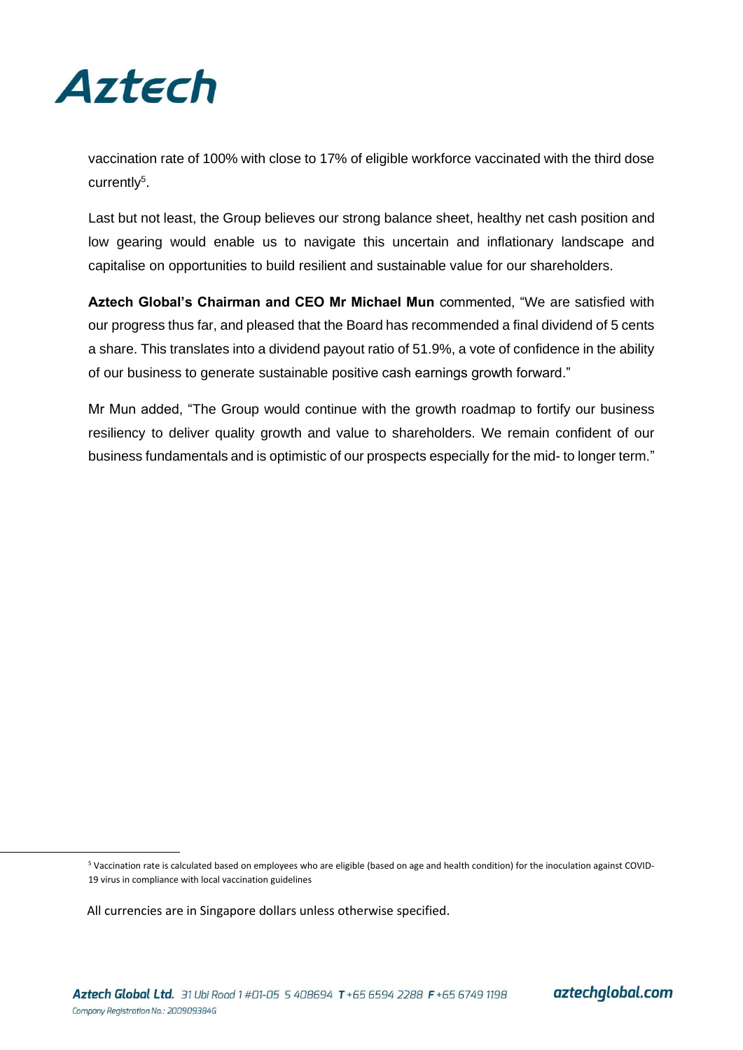

vaccination rate of 100% with close to 17% of eligible workforce vaccinated with the third dose currently<sup>5</sup>.

Last but not least, the Group believes our strong balance sheet, healthy net cash position and low gearing would enable us to navigate this uncertain and inflationary landscape and capitalise on opportunities to build resilient and sustainable value for our shareholders.

**Aztech Global's Chairman and CEO Mr Michael Mun** commented, "We are satisfied with our progress thus far, and pleased that the Board has recommended a final dividend of 5 cents a share. This translates into a dividend payout ratio of 51.9%, a vote of confidence in the ability of our business to generate sustainable positive cash earnings growth forward."

Mr Mun added, "The Group would continue with the growth roadmap to fortify our business resiliency to deliver quality growth and value to shareholders. We remain confident of our business fundamentals and is optimistic of our prospects especially for the mid- to longer term."

<sup>5</sup> Vaccination rate is calculated based on employees who are eligible (based on age and health condition) for the inoculation against COVID-19 virus in compliance with local vaccination guidelines

All currencies are in Singapore dollars unless otherwise specified.